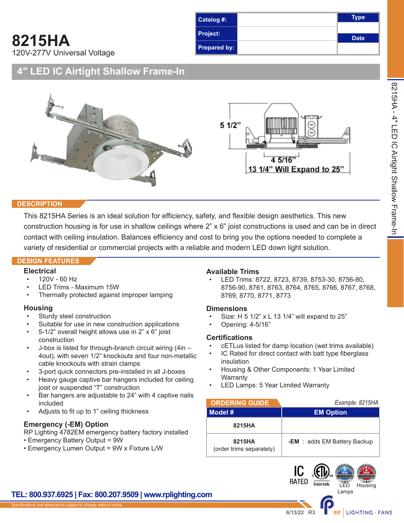**8215HA** 120V-277V Universal Voltage



## **4″ LED IC Airtight Shallow Frame-In**



#### **DESCRIPTION**

This 8215HA Series is an ideal solution for efficiency, safety, and flexible design aesthetics. This new construction housing is for use in shallow ceilings where 2" x 6" joist constructions is used and can be in direct contact with ceiling insulation. Balances efficiency and cost to bring you the options needed to complete a variety of residential or commercial projects with a reliable and modern LED down light solution.

#### **DESIGN FEATURES**

### **Electrical**

- 120V 60 Hz
- LED Trims Maximum 15W
- Thermally protected against improper lamping

### **Housing**

- Sturdy steel construction
- Suitable for use in new construction applications
- 5-1/2" overall height allows use in 2" x 6" joist construction
- J-box is listed for through-branch circuit wiring (4in 4out), with seven 1/2" knockouts and four non-metallic cable knockouts with strain clamps
- 3-port quick connectors pre-installed in all J-boxes
- Heavy gauge captive bar hangers included for ceiling joist or suspended "T" construction
- Bar hangers are adjustable to 24" with 4 captive nails included
- Adjusts to fit up to 1" ceiling thickness

### **Emergency (-EM) Option**

RP Lighting 4782EM emergency battery factory installed

- Emergency Battery Output = 9W
- Emergency Lumen Output = 9W x Fixture L/W

### **Available Trims**

• LED Trims: 8722, 8723, 8739, 8753-30, 8756-80, 8756-90, 8761, 8763, 8764, 8765, 8766, 8767, 8768, 8769, 8770, 8771, 8773

8215HA - 4″ LED IC Airtight Shallow Frame-In

8215HA - 4" LED IC Airtight Shallow Frame-In

### **Dimensions**

- Size: H 5 1/2" x L 13 1/4" will expand to 25"
- Opening: 4-5/16"

### **Certifications**

- cETLus listed for damp location (wet trims available)
- IC Rated for direct contact with batt type fiberglass insulation
- Housing & Other Components: 1 Year Limited **Warranty**
- LED Lamps: 5 Year Limited Warranty

| <b>ORDERING GUIDE</b>              | Example: 8215HA              |
|------------------------------------|------------------------------|
| Model #                            | <b>EM Option</b>             |
| 8215HA                             |                              |
| 8215HA<br>(order trims separately) | -EM : adds EM Battery Backup |

### **TEL: 800.937.6925 | Fax: 800.207.9509 | www.rplighting.com**

IC. **RATED** 

**Intertek** 

LED Lamps **Housing** 

RP | LIGHTING · FANS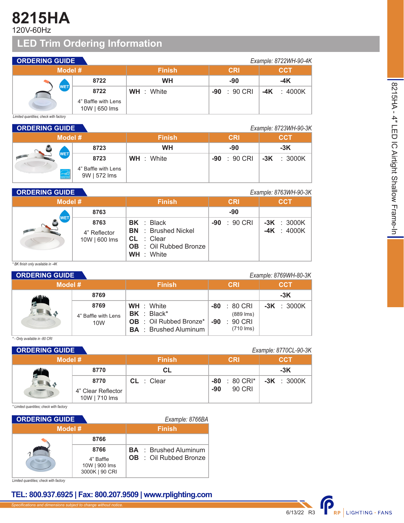# **8215HA**

120V-60Hz

## **LED Trim Ordering Information**

| <b>ORDERING GUIDE</b>    |                                      |                   |                 | Example: 8722WH-90-4K |
|--------------------------|--------------------------------------|-------------------|-----------------|-----------------------|
| Model #                  |                                      | <b>Finish</b>     | <b>CRI</b>      | <b>CCT</b>            |
|                          | 8722                                 | <b>WH</b>         | -90             | $-4K$                 |
| WET,                     | 8722                                 | <b>WH</b> : White | : 90 CRI<br>-90 | $-4K$ : 4000K         |
| $\overline{\phantom{0}}$ | 4" Baffle with Lens<br>10W   650 lms |                   |                 |                       |

*Limited quantities; check with factory*

| <b>ORDERING GUIDE</b> |                     |                                     |                   |                 | Example: 8723WH-90-3K |
|-----------------------|---------------------|-------------------------------------|-------------------|-----------------|-----------------------|
|                       | Model #             |                                     | <b>Finish</b>     | <b>CRI</b>      | <b>CCT</b>            |
|                       |                     | 8723                                | <b>WH</b>         | -90             | $-3K$                 |
|                       | <b>WET</b>          | 8723                                | <b>WH</b> : White | : 90 CRI<br>-90 | $-3K$ : 3000K         |
|                       | enorthe<br>NERGY ST | 4" Baffle with Lens<br>9W   572 lms |                   |                 |                       |

## **ORDERING GUIDE** *Example: 8763WH-90-3K*

| <b>PREMINE SUIPE</b> |                                       |                                                                                                                |                   | <b>LAUTIFIC.</b> UT VOITED UP NO |
|----------------------|---------------------------------------|----------------------------------------------------------------------------------------------------------------|-------------------|----------------------------------|
| Model #              |                                       | <b>Finish</b>                                                                                                  | <b>CRI</b>        | <b>CCT</b>                       |
|                      | 8763                                  |                                                                                                                | -90               |                                  |
| <b>WET</b>           | 8763<br>4" Reflector<br>10W   600 lms | BK : Black<br><b>BN</b> : Brushed Nickel<br>$CL$ : Clear<br><b>OB</b> : Oil Rubbed Bronze<br><b>WH</b> : White | $: 90$ CRI<br>-90 | $-3K : 3000K$<br>$-4K : 4000K$   |

*\* BK finish only available in -4K*

|         | <b>ORDERING GUIDE</b><br>Example: 8769WH-80-3K |                                                                                                       |                                                                |               |  |  |
|---------|------------------------------------------------|-------------------------------------------------------------------------------------------------------|----------------------------------------------------------------|---------------|--|--|
| Model # |                                                | <b>Finish</b>                                                                                         | <b>CRI</b>                                                     | <b>CCT</b>    |  |  |
|         | 8769                                           |                                                                                                       |                                                                | $-3K$         |  |  |
|         | 8769<br>4" Baffle with Lens<br>10W             | <b>WH</b> : White<br>$BK : Black^*$<br><b>OB</b> : Oil Rubbed Bronze*<br><b>BA</b> : Brushed Aluminum | : 80 CRI<br>-80<br>$(889$ lms)<br>90 CRI<br>-90<br>$(710$ lms) | $-3K$ : 3000K |  |  |

#### *\* - Only available in -80 CRI*

| <b>ORDERING GUIDE</b> |                                     |               |                             | Example: 8770CL-90-3K |
|-----------------------|-------------------------------------|---------------|-----------------------------|-----------------------|
| Model #               |                                     | <b>Finish</b> | <b>CRI</b>                  | <b>CCT</b>            |
|                       | 8770                                | <b>CL</b>     |                             | $-3K$                 |
|                       | 8770                                | $CL$ : Clear  | $\therefore$ 80 CRI*<br>-80 | $-3K$ : 3000K         |
|                       | 4" Clear Reflector<br>10W   710 lms |               | 90 CRI<br>-90               |                       |

*\* Limited quantities; check with factory*

| <b>ORDERING GUIDE</b> |                                              |  | Example: 8766BA               |
|-----------------------|----------------------------------------------|--|-------------------------------|
| Model #               |                                              |  | <b>Finish</b>                 |
|                       | 8766                                         |  |                               |
|                       | 8766                                         |  | <b>BA</b> : Brushed Aluminum  |
|                       | 4" Baffle<br>10W   900 lms<br>3000K   90 CRI |  | <b>OB</b> : Oil Rubbed Bronze |

*Limited quantities; check with factory*

### **TEL: 800.937.6925 | Fax: 800.207.9509 | www.rplighting.com**

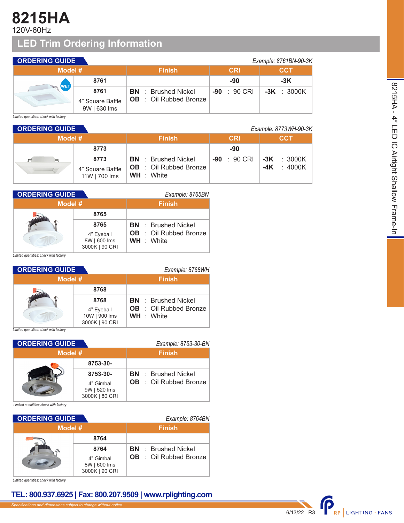# **8215HA**

120V-60Hz

# **LED Trim Ordering Information**

| <b>ORDERING GUIDE</b> |                                  |                               |                 | Example: 8761BN-90-3K |
|-----------------------|----------------------------------|-------------------------------|-----------------|-----------------------|
| Model #               |                                  | <b>Finish</b>                 | <b>CRI</b>      | <b>CCT</b>            |
|                       | 8761                             |                               | -90             | $-3K$                 |
| <b>WET</b>            | 8761                             | <b>BN</b> : Brushed Nickel    | : 90 CRI<br>-90 | $-3K$ : 3000K         |
|                       | 4" Square Baffle<br>9W   630 lms | <b>OB</b> : Oil Rubbed Bronze |                 |                       |

*Limited quantities; check with factory*

| <b>ORDERING GUIDE</b><br>Example: 8773WH-90-3K |                                   |                                                    |                        |                     |
|------------------------------------------------|-----------------------------------|----------------------------------------------------|------------------------|---------------------|
| Model #                                        |                                   | <b>Finish</b>                                      | <b>CRI</b>             | <b>CCT</b>          |
|                                                | 8773                              |                                                    | -90                    |                     |
| p=1                                            | 8773                              | <b>BN</b> : Brushed Nickel                         | $-90 : 90 \text{ CRI}$ | $-3K$ : 3000K       |
|                                                | 4" Square Baffle<br>11W   700 lms | <b>OB</b> : Oil Rubbed Bronze<br><b>WH</b> : White |                        | $\div$ 4000K<br>-4K |

| <b>ORDERING GUIDE</b> |                                              | Example: 8765BN                                    |
|-----------------------|----------------------------------------------|----------------------------------------------------|
| Model #               |                                              | <b>Finish</b>                                      |
|                       | 8765                                         |                                                    |
|                       | 8765                                         | <b>BN</b> : Brushed Nickel                         |
|                       | 4" Eyeball<br>8W   600 lms<br>3000K   90 CRI | <b>OB</b> : Oil Rubbed Bronze<br><b>WH</b> : White |

*Limited quantities; check with factory*

| <b>ORDERING GUIDE</b> |                             | Example: 8768WH                                    |
|-----------------------|-----------------------------|----------------------------------------------------|
| Model #               |                             | <b>Finish</b>                                      |
|                       | 8768                        |                                                    |
|                       | 8768                        | <b>BN</b> : Brushed Nickel                         |
|                       | 4" Eyeball<br>10W   900 lms | <b>OB</b> : Oil Rubbed Bronze<br><b>WH</b> : White |
|                       | 3000K   90 CRI              |                                                    |

*Limited quantities; check with factory*

| <b>ORDERING GUIDE</b> |                                             | Example: 8753-30-BN           |
|-----------------------|---------------------------------------------|-------------------------------|
| Model #               |                                             | <b>Finish</b>                 |
|                       | 8753-30-                                    |                               |
|                       | 8753-30-                                    | <b>BN</b> : Brushed Nickel    |
|                       | 4" Gimbal<br>9W   520 lms<br>3000K   80 CRI | <b>OB</b> : Oil Rubbed Bronze |

*Limited quantities; check with factory*

| <b>ORDERING GUIDE</b> |                                                     | Example: 8764BN                                             |  |  |
|-----------------------|-----------------------------------------------------|-------------------------------------------------------------|--|--|
| Model #               |                                                     | <b>Finish</b>                                               |  |  |
|                       | 8764                                                |                                                             |  |  |
|                       | 8764<br>4" Gimbal<br>8W   600 lms<br>3000K   90 CRI | <b>BN</b> : Brushed Nickel<br><b>OB</b> : Oil Rubbed Bronze |  |  |

*Limited quantities; check with factory*

## **TEL: 800.937.6925 | Fax: 800.207.9509 | www.rplighting.com**